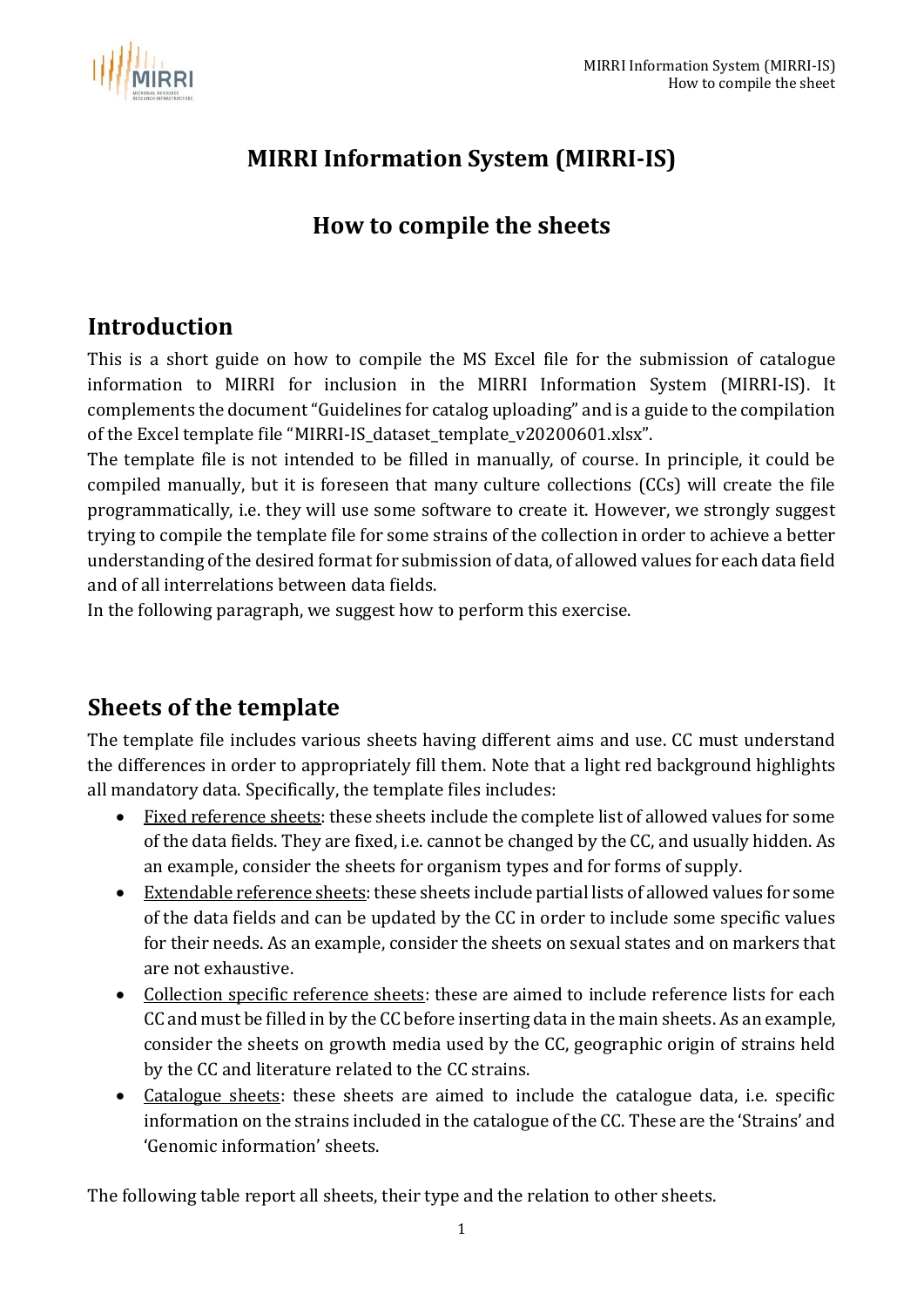

## **MIRRI Information System (MIRRI-IS)**

## **How to compile the sheets**

#### **Introduction**

This is a short guide on how to compile the MS Excel file for the submission of catalogue information to MIRRI for inclusion in the MIRRI Information System (MIRRI-IS). It complements the document "Guidelines for catalog uploading" and is a guide to the compilation of the Excel template file "MIRRI-IS\_dataset\_template\_v20200601.xlsx".

The template file is not intended to be filled in manually, of course. In principle, it could be compiled manually, but it is foreseen that many culture collections (CCs) will create the file programmatically, i.e. they will use some software to create it. However, we strongly suggest trying to compile the template file for some strains of the collection in order to achieve a better understanding of the desired format for submission of data, of allowed values for each data field and of all interrelations between data fields.

In the following paragraph, we suggest how to perform this exercise.

### **Sheets of the template**

The template file includes various sheets having different aims and use. CC must understand the differences in order to appropriately fill them. Note that a light red background highlights all mandatory data. Specifically, the template files includes:

- Fixed reference sheets: these sheets include the complete list of allowed values for some of the data fields. They are fixed, i.e. cannot be changed by the CC, and usually hidden. As an example, consider the sheets for organism types and for forms of supply.
- Extendable reference sheets: these sheets include partial lists of allowed values for some of the data fields and can be updated by the CC in order to include some specific values for their needs. As an example, consider the sheets on sexual states and on markers that are not exhaustive.
- Collection specific reference sheets: these are aimed to include reference lists for each CC and must be filled in by the CC before inserting data in the main sheets. As an example, consider the sheets on growth media used by the CC, geographic origin of strains held by the CC and literature related to the CC strains.
- Catalogue sheets: these sheets are aimed to include the catalogue data, i.e. specific information on the strains included in the catalogue of the CC. These are the 'Strains' and 'Genomic information' sheets.

The following table report all sheets, their type and the relation to other sheets.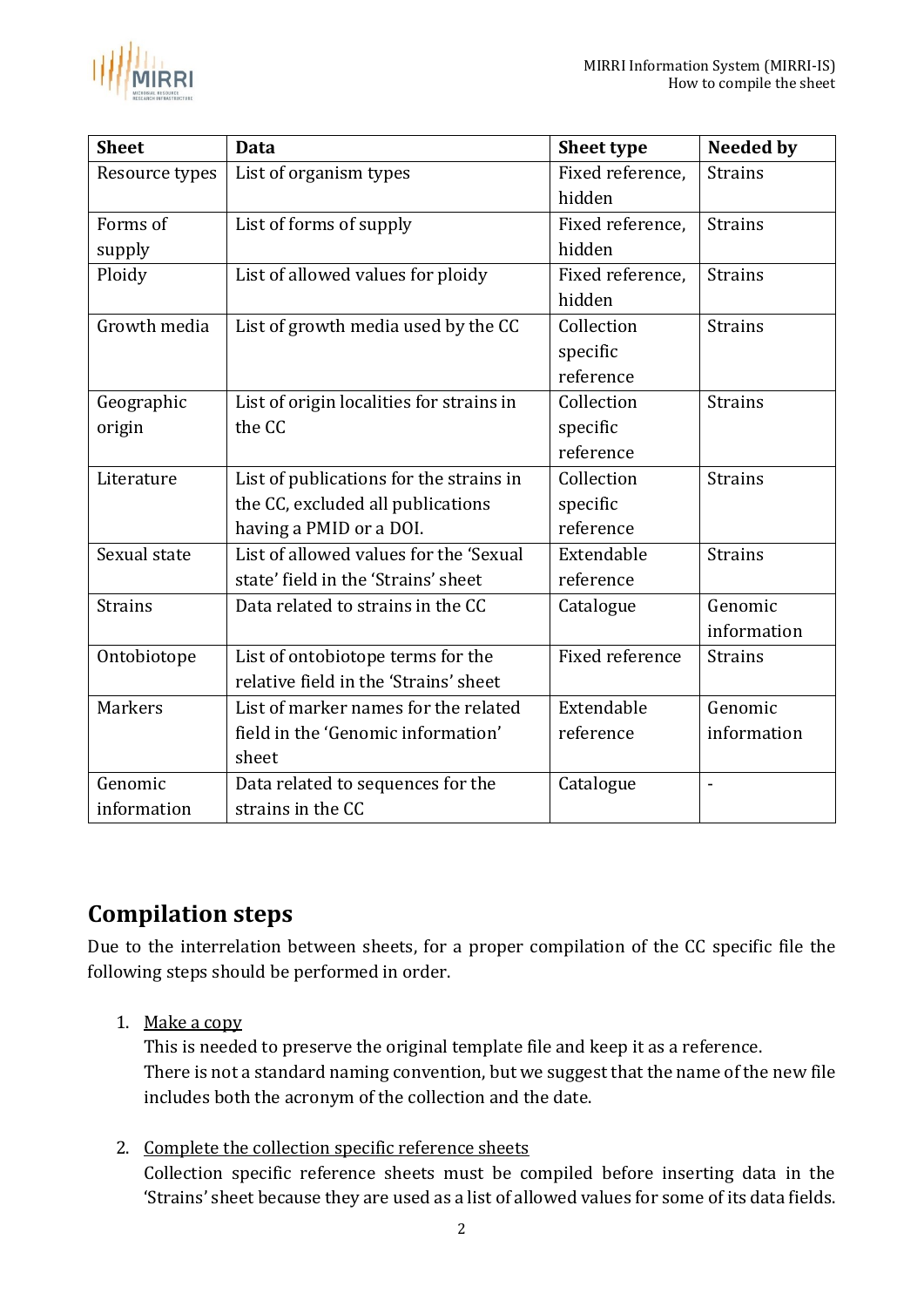

| <b>Sheet</b>   | <b>Data</b>                              | <b>Sheet type</b> | <b>Needed by</b> |
|----------------|------------------------------------------|-------------------|------------------|
| Resource types | List of organism types                   | Fixed reference,  | <b>Strains</b>   |
|                |                                          | hidden            |                  |
| Forms of       | List of forms of supply                  | Fixed reference,  | <b>Strains</b>   |
| supply         |                                          | hidden            |                  |
| Ploidy         | List of allowed values for ploidy        | Fixed reference,  | <b>Strains</b>   |
|                |                                          | hidden            |                  |
| Growth media   | List of growth media used by the CC      | Collection        | <b>Strains</b>   |
|                |                                          | specific          |                  |
|                |                                          | reference         |                  |
| Geographic     | List of origin localities for strains in | Collection        | <b>Strains</b>   |
| origin         | the CC                                   | specific          |                  |
|                |                                          | reference         |                  |
| Literature     | List of publications for the strains in  | Collection        | <b>Strains</b>   |
|                | the CC, excluded all publications        | specific          |                  |
|                | having a PMID or a DOI.                  | reference         |                  |
| Sexual state   | List of allowed values for the 'Sexual   | Extendable        | <b>Strains</b>   |
|                | state' field in the 'Strains' sheet      | reference         |                  |
| <b>Strains</b> | Data related to strains in the CC        | Catalogue         | Genomic          |
|                |                                          |                   | information      |
| Ontobiotope    | List of ontobiotope terms for the        | Fixed reference   | <b>Strains</b>   |
|                | relative field in the 'Strains' sheet    |                   |                  |
| <b>Markers</b> | List of marker names for the related     | Extendable        | Genomic          |
|                | field in the 'Genomic information'       | reference         | information      |
|                | sheet                                    |                   |                  |
| Genomic        | Data related to sequences for the        | Catalogue         | $\overline{a}$   |
| information    | strains in the CC                        |                   |                  |

# **Compilation steps**

Due to the interrelation between sheets, for a proper compilation of the CC specific file the following steps should be performed in order.

1. Make a copy

This is needed to preserve the original template file and keep it as a reference. There is not a standard naming convention, but we suggest that the name of the new file includes both the acronym of the collection and the date.

2. Complete the collection specific reference sheets Collection specific reference sheets must be compiled before inserting data in the 'Strains' sheet because they are used as a list of allowed values for some of its data fields.